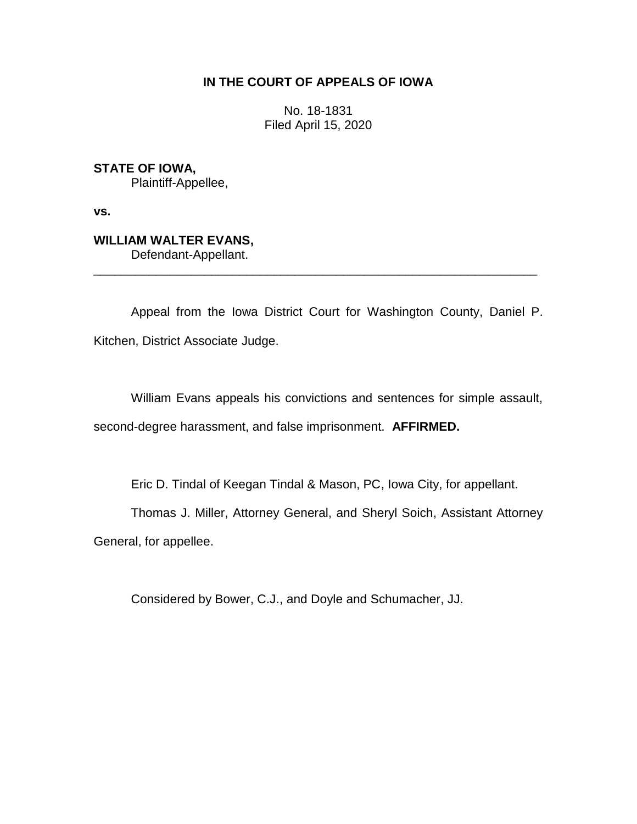## **IN THE COURT OF APPEALS OF IOWA**

No. 18-1831 Filed April 15, 2020

**STATE OF IOWA,** Plaintiff-Appellee,

**vs.**

## **WILLIAM WALTER EVANS,** Defendant-Appellant.

Appeal from the Iowa District Court for Washington County, Daniel P. Kitchen, District Associate Judge.

\_\_\_\_\_\_\_\_\_\_\_\_\_\_\_\_\_\_\_\_\_\_\_\_\_\_\_\_\_\_\_\_\_\_\_\_\_\_\_\_\_\_\_\_\_\_\_\_\_\_\_\_\_\_\_\_\_\_\_\_\_\_\_\_

William Evans appeals his convictions and sentences for simple assault, second-degree harassment, and false imprisonment. **AFFIRMED.**

Eric D. Tindal of Keegan Tindal & Mason, PC, Iowa City, for appellant.

Thomas J. Miller, Attorney General, and Sheryl Soich, Assistant Attorney

General, for appellee.

Considered by Bower, C.J., and Doyle and Schumacher, JJ.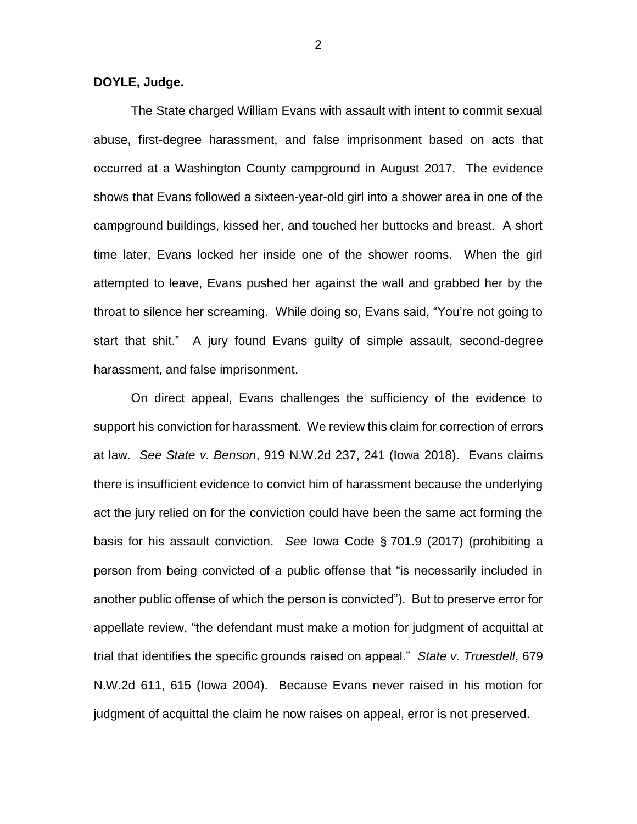## **DOYLE, Judge.**

The State charged William Evans with assault with intent to commit sexual abuse, first-degree harassment, and false imprisonment based on acts that occurred at a Washington County campground in August 2017. The evidence shows that Evans followed a sixteen-year-old girl into a shower area in one of the campground buildings, kissed her, and touched her buttocks and breast. A short time later, Evans locked her inside one of the shower rooms. When the girl attempted to leave, Evans pushed her against the wall and grabbed her by the throat to silence her screaming. While doing so, Evans said, "You're not going to start that shit." A jury found Evans guilty of simple assault, second-degree harassment, and false imprisonment.

On direct appeal, Evans challenges the sufficiency of the evidence to support his conviction for harassment. We review this claim for correction of errors at law. *See State v. Benson*, 919 N.W.2d 237, 241 (Iowa 2018). Evans claims there is insufficient evidence to convict him of harassment because the underlying act the jury relied on for the conviction could have been the same act forming the basis for his assault conviction. *See* Iowa Code § 701.9 (2017) (prohibiting a person from being convicted of a public offense that "is necessarily included in another public offense of which the person is convicted"). But to preserve error for appellate review, "the defendant must make a motion for judgment of acquittal at trial that identifies the specific grounds raised on appeal." *State v. Truesdell*, 679 N.W.2d 611, 615 (Iowa 2004). Because Evans never raised in his motion for judgment of acquittal the claim he now raises on appeal, error is not preserved.

2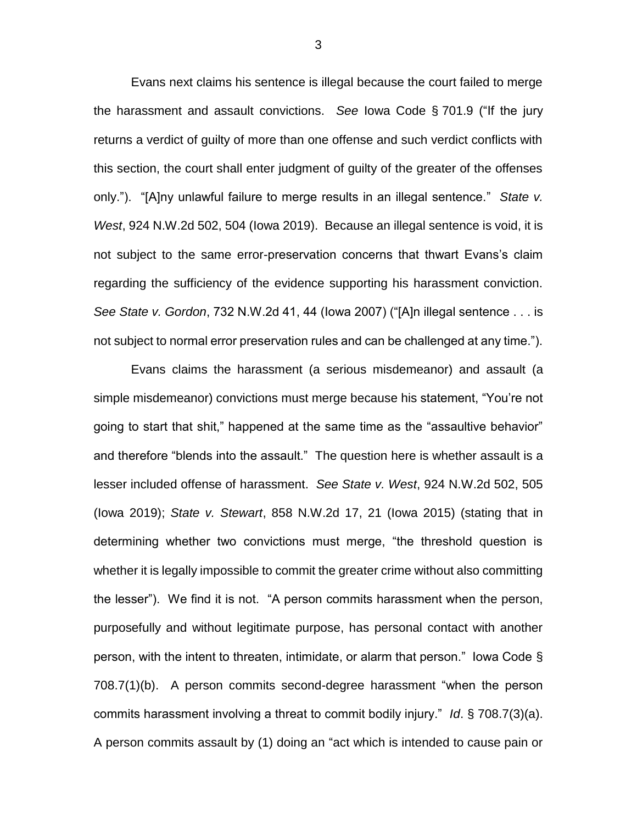Evans next claims his sentence is illegal because the court failed to merge the harassment and assault convictions. *See* Iowa Code § 701.9 ("If the jury returns a verdict of guilty of more than one offense and such verdict conflicts with this section, the court shall enter judgment of guilty of the greater of the offenses only."). "[A]ny unlawful failure to merge results in an illegal sentence." *State v. West*, 924 N.W.2d 502, 504 (Iowa 2019). Because an illegal sentence is void, it is not subject to the same error-preservation concerns that thwart Evans's claim regarding the sufficiency of the evidence supporting his harassment conviction. *See State v. Gordon*, 732 N.W.2d 41, 44 (Iowa 2007) ("[A]n illegal sentence . . . is not subject to normal error preservation rules and can be challenged at any time.").

Evans claims the harassment (a serious misdemeanor) and assault (a simple misdemeanor) convictions must merge because his statement, "You're not going to start that shit," happened at the same time as the "assaultive behavior" and therefore "blends into the assault." The question here is whether assault is a lesser included offense of harassment. *See State v. West*, 924 N.W.2d 502, 505 (Iowa 2019); *State v. Stewart*, 858 N.W.2d 17, 21 (Iowa 2015) (stating that in determining whether two convictions must merge, "the threshold question is whether it is legally impossible to commit the greater crime without also committing the lesser"). We find it is not. "A person commits harassment when the person, purposefully and without legitimate purpose, has personal contact with another person, with the intent to threaten, intimidate, or alarm that person." Iowa Code § 708.7(1)(b). A person commits second-degree harassment "when the person commits harassment involving a threat to commit bodily injury." *Id*. § 708.7(3)(a). A person commits assault by (1) doing an "act which is intended to cause pain or

3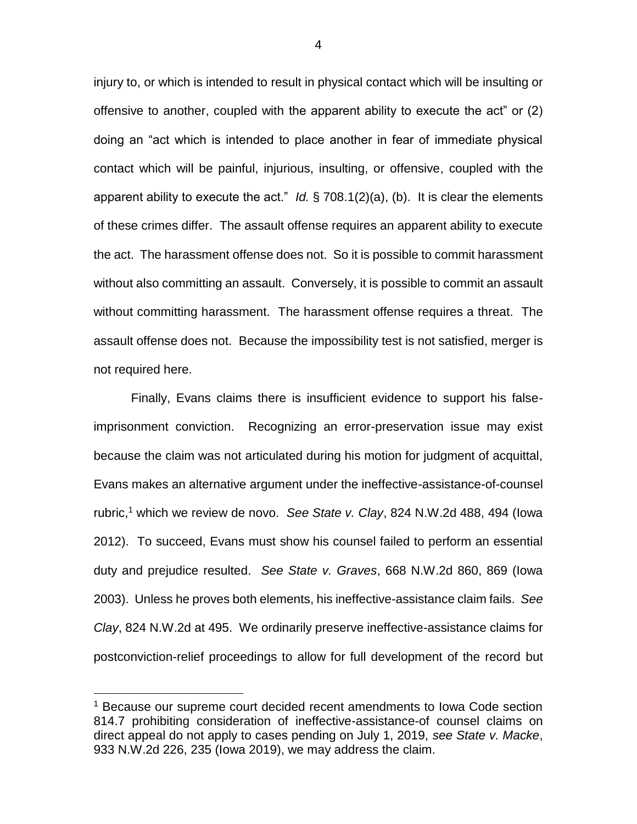injury to, or which is intended to result in physical contact which will be insulting or offensive to another, coupled with the apparent ability to execute the act" or (2) doing an "act which is intended to place another in fear of immediate physical contact which will be painful, injurious, insulting, or offensive, coupled with the apparent ability to execute the act." *Id.* § 708.1(2)(a), (b). It is clear the elements of these crimes differ. The assault offense requires an apparent ability to execute the act. The harassment offense does not. So it is possible to commit harassment without also committing an assault. Conversely, it is possible to commit an assault without committing harassment. The harassment offense requires a threat. The assault offense does not. Because the impossibility test is not satisfied, merger is not required here.

Finally, Evans claims there is insufficient evidence to support his falseimprisonment conviction. Recognizing an error-preservation issue may exist because the claim was not articulated during his motion for judgment of acquittal, Evans makes an alternative argument under the ineffective-assistance-of-counsel rubric,<sup>1</sup> which we review de novo. *See State v. Clay*, 824 N.W.2d 488, 494 (Iowa 2012). To succeed, Evans must show his counsel failed to perform an essential duty and prejudice resulted. *See State v. Graves*, 668 N.W.2d 860, 869 (Iowa 2003). Unless he proves both elements, his ineffective-assistance claim fails. *See Clay*, 824 N.W.2d at 495. We ordinarily preserve ineffective-assistance claims for postconviction-relief proceedings to allow for full development of the record but

 $\overline{a}$ 

<sup>&</sup>lt;sup>1</sup> Because our supreme court decided recent amendments to Iowa Code section 814.7 prohibiting consideration of ineffective-assistance-of counsel claims on direct appeal do not apply to cases pending on July 1, 2019, *see State v. Macke*, 933 N.W.2d 226, 235 (Iowa 2019), we may address the claim.